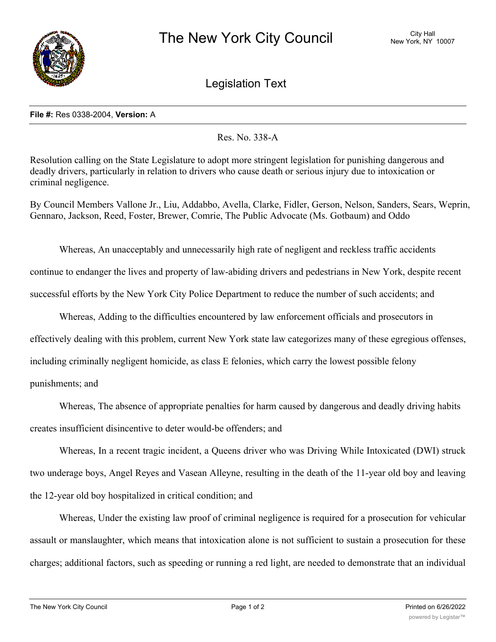

Legislation Text

## **File #:** Res 0338-2004, **Version:** A

Res. No. 338-A

Resolution calling on the State Legislature to adopt more stringent legislation for punishing dangerous and deadly drivers, particularly in relation to drivers who cause death or serious injury due to intoxication or criminal negligence.

By Council Members Vallone Jr., Liu, Addabbo, Avella, Clarke, Fidler, Gerson, Nelson, Sanders, Sears, Weprin, Gennaro, Jackson, Reed, Foster, Brewer, Comrie, The Public Advocate (Ms. Gotbaum) and Oddo

Whereas, An unacceptably and unnecessarily high rate of negligent and reckless traffic accidents continue to endanger the lives and property of law-abiding drivers and pedestrians in New York, despite recent successful efforts by the New York City Police Department to reduce the number of such accidents; and

Whereas, Adding to the difficulties encountered by law enforcement officials and prosecutors in

effectively dealing with this problem, current New York state law categorizes many of these egregious offenses,

including criminally negligent homicide, as class E felonies, which carry the lowest possible felony

punishments; and

Whereas, The absence of appropriate penalties for harm caused by dangerous and deadly driving habits creates insufficient disincentive to deter would-be offenders; and

Whereas, In a recent tragic incident, a Queens driver who was Driving While Intoxicated (DWI) struck two underage boys, Angel Reyes and Vasean Alleyne, resulting in the death of the 11-year old boy and leaving the 12-year old boy hospitalized in critical condition; and

Whereas, Under the existing law proof of criminal negligence is required for a prosecution for vehicular assault or manslaughter, which means that intoxication alone is not sufficient to sustain a prosecution for these charges; additional factors, such as speeding or running a red light, are needed to demonstrate that an individual